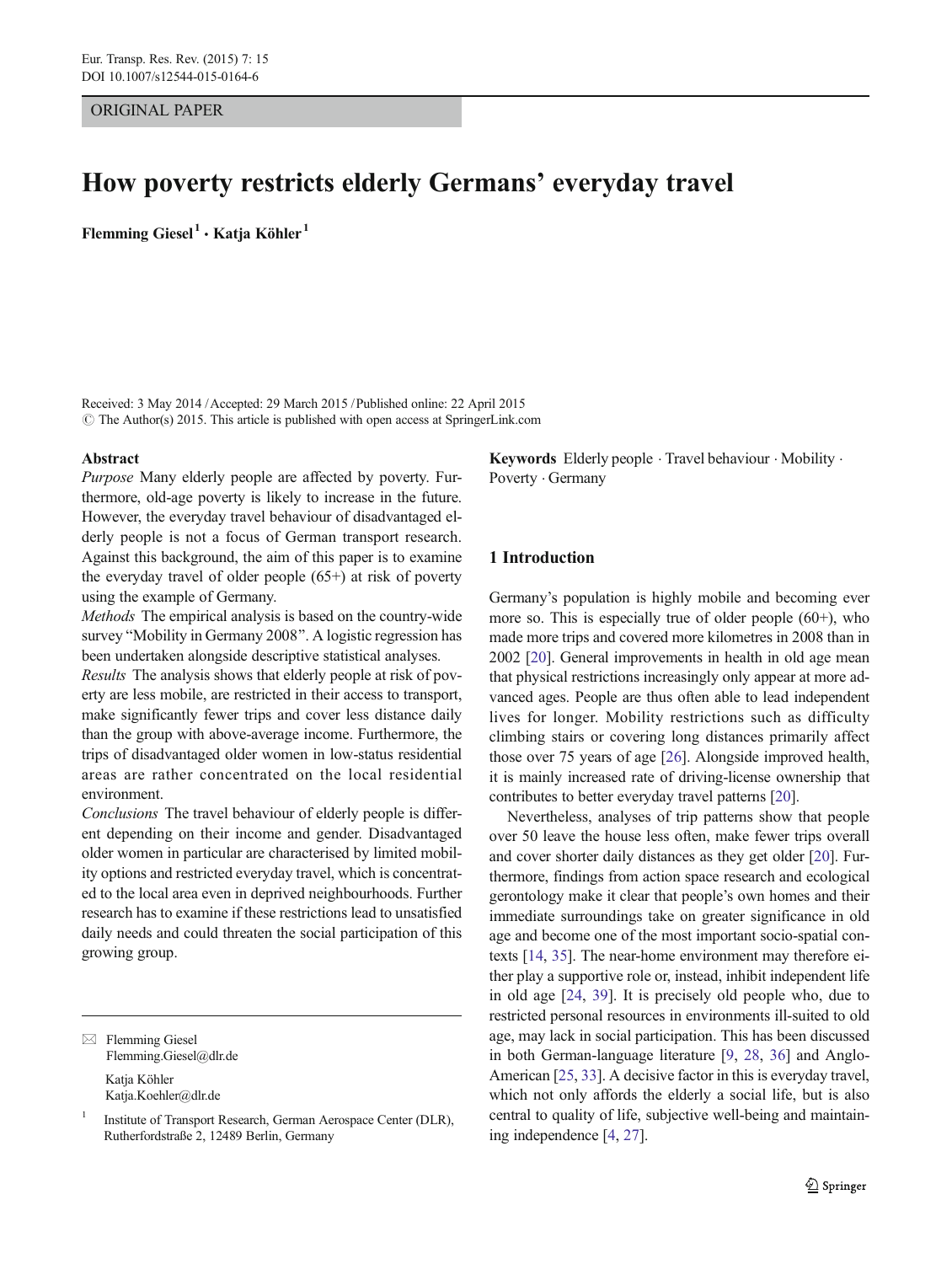### ORIGINAL PAPER

# How poverty restricts elderly Germans' everyday travel

Flemming Giesel<sup>1</sup>  $\cdot$  Katja Köhler<sup>1</sup>

Received: 3 May 2014 /Accepted: 29 March 2015 /Published online: 22 April 2015  $\odot$  The Author(s) 2015. This article is published with open access at SpringerLink.com

#### Abstract

Purpose Many elderly people are affected by poverty. Furthermore, old-age poverty is likely to increase in the future. However, the everyday travel behaviour of disadvantaged elderly people is not a focus of German transport research. Against this background, the aim of this paper is to examine the everyday travel of older people (65+) at risk of poverty using the example of Germany.

Methods The empirical analysis is based on the country-wide survey "Mobility in Germany 2008". A logistic regression has been undertaken alongside descriptive statistical analyses.

Results The analysis shows that elderly people at risk of poverty are less mobile, are restricted in their access to transport, make significantly fewer trips and cover less distance daily than the group with above-average income. Furthermore, the trips of disadvantaged older women in low-status residential areas are rather concentrated on the local residential environment.

Conclusions The travel behaviour of elderly people is different depending on their income and gender. Disadvantaged older women in particular are characterised by limited mobility options and restricted everyday travel, which is concentrated to the local area even in deprived neighbourhoods. Further research has to examine if these restrictions lead to unsatisfied daily needs and could threaten the social participation of this growing group.

 $\boxtimes$  Flemming Giesel Flemming.Giesel@dlr.de Katja Köhler Katja.Koehler@dlr.de

<sup>1</sup> Institute of Transport Research, German Aerospace Center (DLR), Rutherfordstraße 2, 12489 Berlin, Germany

Keywords Elderly people . Travel behaviour . Mobility . Poverty . Germany

# 1 Introduction

Germany's population is highly mobile and becoming ever more so. This is especially true of older people (60+), who made more trips and covered more kilometres in 2008 than in 2002 [\[20\]](#page-7-0). General improvements in health in old age mean that physical restrictions increasingly only appear at more advanced ages. People are thus often able to lead independent lives for longer. Mobility restrictions such as difficulty climbing stairs or covering long distances primarily affect those over 75 years of age [[26\]](#page-8-0). Alongside improved health, it is mainly increased rate of driving-license ownership that contributes to better everyday travel patterns [\[20\]](#page-7-0).

Nevertheless, analyses of trip patterns show that people over 50 leave the house less often, make fewer trips overall and cover shorter daily distances as they get older [\[20](#page-7-0)]. Furthermore, findings from action space research and ecological gerontology make it clear that people's own homes and their immediate surroundings take on greater significance in old age and become one of the most important socio-spatial contexts [\[14,](#page-7-0) [35](#page-8-0)]. The near-home environment may therefore either play a supportive role or, instead, inhibit independent life in old age [[24](#page-8-0), [39\]](#page-8-0). It is precisely old people who, due to restricted personal resources in environments ill-suited to old age, may lack in social participation. This has been discussed in both German-language literature [\[9](#page-7-0), [28](#page-8-0), [36\]](#page-8-0) and Anglo-American [\[25](#page-8-0), [33\]](#page-8-0). A decisive factor in this is everyday travel, which not only affords the elderly a social life, but is also central to quality of life, subjective well-being and maintaining independence [\[4](#page-7-0), [27](#page-8-0)].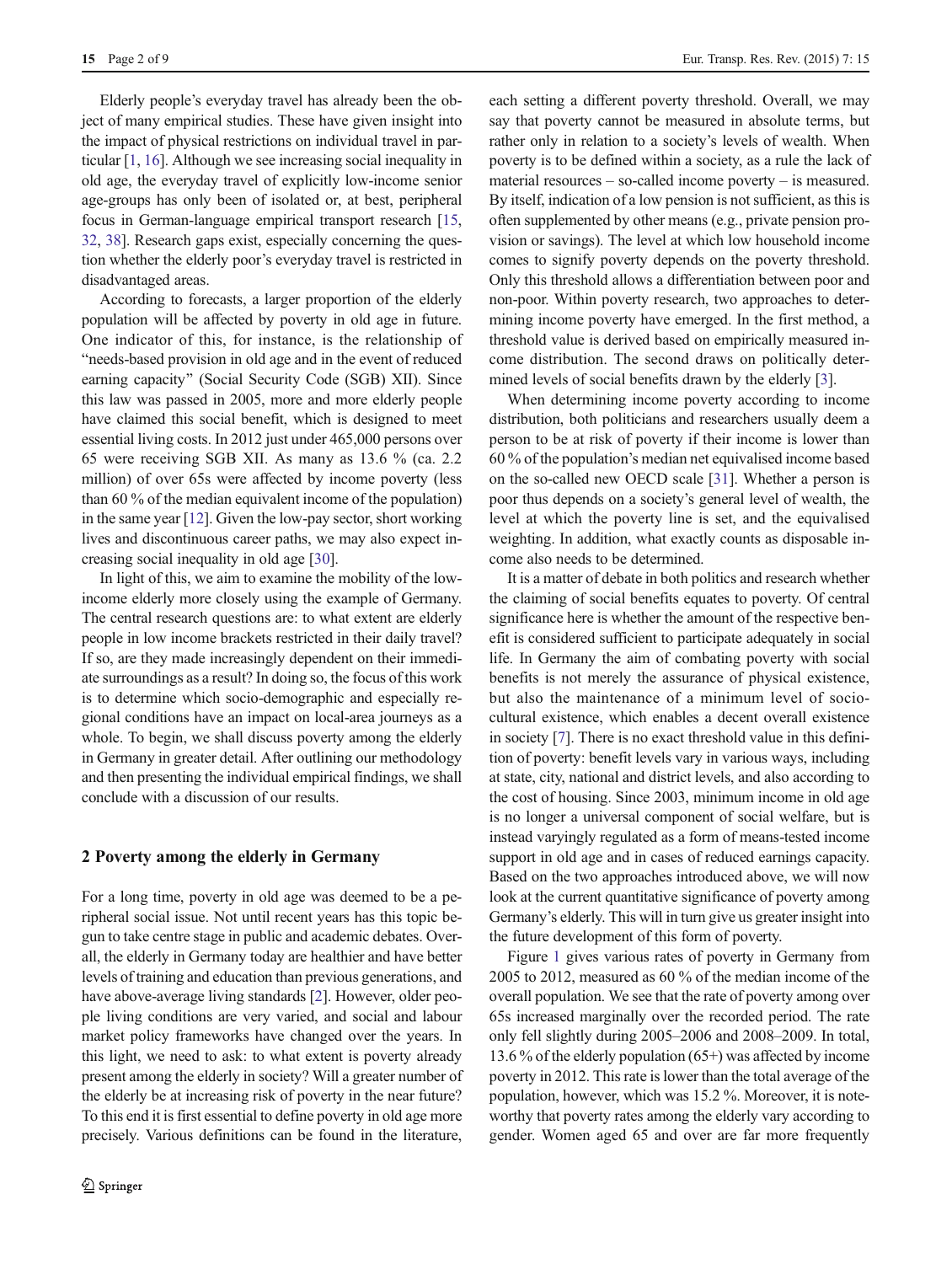Elderly people's everyday travel has already been the object of many empirical studies. These have given insight into the impact of physical restrictions on individual travel in particular [[1,](#page-7-0) [16\]](#page-7-0). Although we see increasing social inequality in old age, the everyday travel of explicitly low-income senior age-groups has only been of isolated or, at best, peripheral focus in German-language empirical transport research [[15,](#page-7-0) [32,](#page-8-0) [38\]](#page-8-0). Research gaps exist, especially concerning the question whether the elderly poor's everyday travel is restricted in disadvantaged areas.

According to forecasts, a larger proportion of the elderly population will be affected by poverty in old age in future. One indicator of this, for instance, is the relationship of "needs-based provision in old age and in the event of reduced earning capacity" (Social Security Code (SGB) XII). Since this law was passed in 2005, more and more elderly people have claimed this social benefit, which is designed to meet essential living costs. In 2012 just under 465,000 persons over 65 were receiving SGB XII. As many as 13.6 % (ca. 2.2 million) of over 65s were affected by income poverty (less than 60 % of the median equivalent income of the population) in the same year [[12\]](#page-7-0). Given the low-pay sector, short working lives and discontinuous career paths, we may also expect increasing social inequality in old age [[30](#page-8-0)].

In light of this, we aim to examine the mobility of the lowincome elderly more closely using the example of Germany. The central research questions are: to what extent are elderly people in low income brackets restricted in their daily travel? If so, are they made increasingly dependent on their immediate surroundings as a result? In doing so, the focus of this work is to determine which socio-demographic and especially regional conditions have an impact on local-area journeys as a whole. To begin, we shall discuss poverty among the elderly in Germany in greater detail. After outlining our methodology and then presenting the individual empirical findings, we shall conclude with a discussion of our results.

# 2 Poverty among the elderly in Germany

For a long time, poverty in old age was deemed to be a peripheral social issue. Not until recent years has this topic begun to take centre stage in public and academic debates. Overall, the elderly in Germany today are healthier and have better levels of training and education than previous generations, and have above-average living standards [\[2\]](#page-7-0). However, older people living conditions are very varied, and social and labour market policy frameworks have changed over the years. In this light, we need to ask: to what extent is poverty already present among the elderly in society? Will a greater number of the elderly be at increasing risk of poverty in the near future? To this end it is first essential to define poverty in old age more precisely. Various definitions can be found in the literature,

each setting a different poverty threshold. Overall, we may say that poverty cannot be measured in absolute terms, but rather only in relation to a society's levels of wealth. When poverty is to be defined within a society, as a rule the lack of material resources – so-called income poverty – is measured. By itself, indication of a low pension is not sufficient, as this is often supplemented by other means (e.g., private pension provision or savings). The level at which low household income comes to signify poverty depends on the poverty threshold. Only this threshold allows a differentiation between poor and non-poor. Within poverty research, two approaches to determining income poverty have emerged. In the first method, a threshold value is derived based on empirically measured income distribution. The second draws on politically determined levels of social benefits drawn by the elderly [\[3](#page-7-0)].

When determining income poverty according to income distribution, both politicians and researchers usually deem a person to be at risk of poverty if their income is lower than 60 % of the population's median net equivalised income based on the so-called new OECD scale [\[31](#page-8-0)]. Whether a person is poor thus depends on a society's general level of wealth, the level at which the poverty line is set, and the equivalised weighting. In addition, what exactly counts as disposable income also needs to be determined.

It is a matter of debate in both politics and research whether the claiming of social benefits equates to poverty. Of central significance here is whether the amount of the respective benefit is considered sufficient to participate adequately in social life. In Germany the aim of combating poverty with social benefits is not merely the assurance of physical existence, but also the maintenance of a minimum level of sociocultural existence, which enables a decent overall existence in society [\[7\]](#page-7-0). There is no exact threshold value in this definition of poverty: benefit levels vary in various ways, including at state, city, national and district levels, and also according to the cost of housing. Since 2003, minimum income in old age is no longer a universal component of social welfare, but is instead varyingly regulated as a form of means-tested income support in old age and in cases of reduced earnings capacity. Based on the two approaches introduced above, we will now look at the current quantitative significance of poverty among Germany's elderly. This will in turn give us greater insight into the future development of this form of poverty.

Figure [1](#page-2-0) gives various rates of poverty in Germany from 2005 to 2012, measured as 60 % of the median income of the overall population. We see that the rate of poverty among over 65s increased marginally over the recorded period. The rate only fell slightly during 2005–2006 and 2008–2009. In total, 13.6 % of the elderly population (65+) was affected by income poverty in 2012. This rate is lower than the total average of the population, however, which was 15.2 %. Moreover, it is noteworthy that poverty rates among the elderly vary according to gender. Women aged 65 and over are far more frequently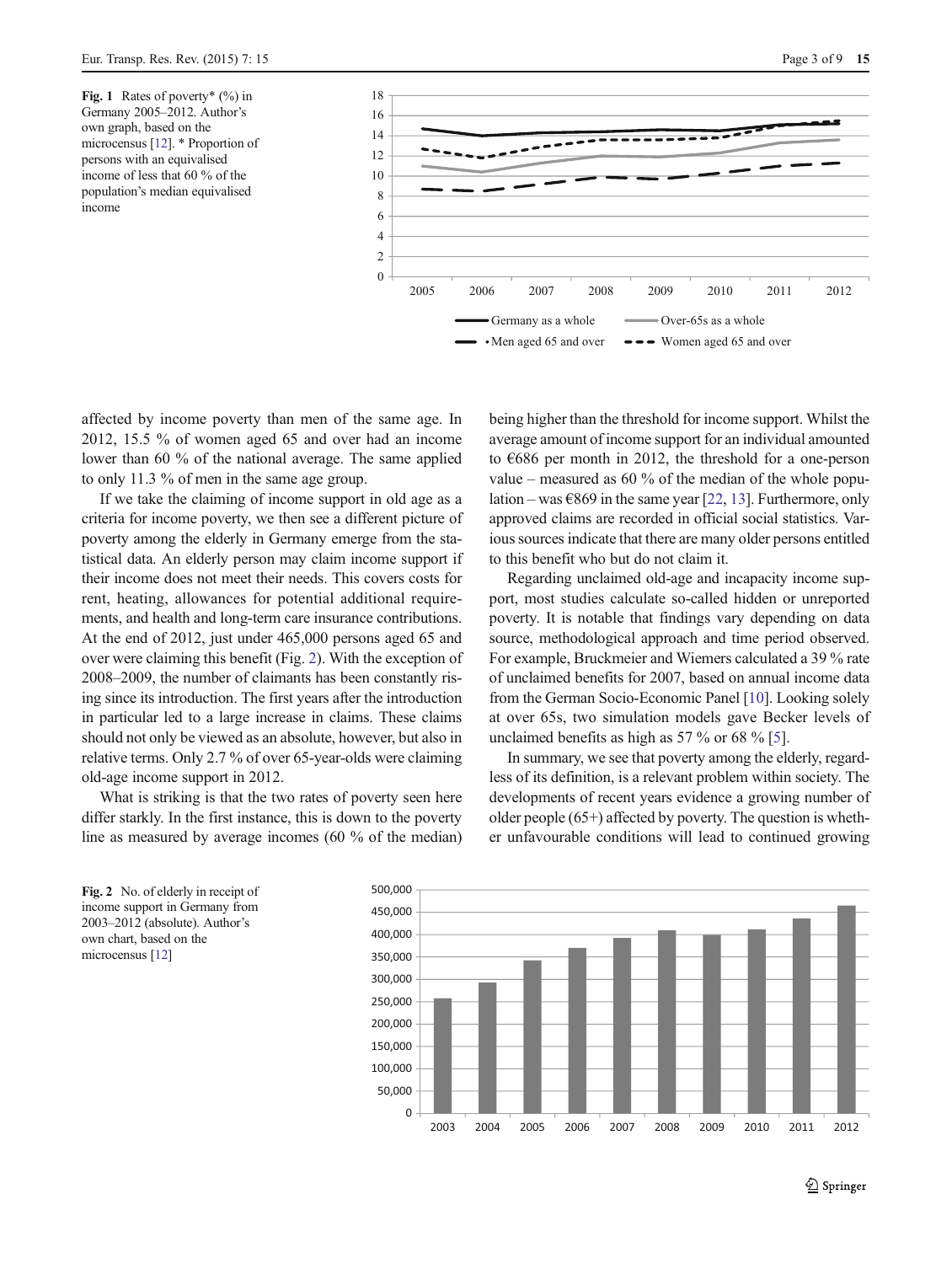<span id="page-2-0"></span>Fig. 1 Rates of poverty\*  $(\%)$  in Germany 2005–2012. Author's own graph, based on the microcensus [[12\]](#page-7-0). \* Proportion of persons with an equivalised income of less that 60 % of the population's median equivalised income



affected by income poverty than men of the same age. In 2012, 15.5 % of women aged 65 and over had an income lower than 60 % of the national average. The same applied to only 11.3 % of men in the same age group.

If we take the claiming of income support in old age as a criteria for income poverty, we then see a different picture of poverty among the elderly in Germany emerge from the statistical data. An elderly person may claim income support if their income does not meet their needs. This covers costs for rent, heating, allowances for potential additional requirements, and health and long-term care insurance contributions. At the end of 2012, just under 465,000 persons aged 65 and over were claiming this benefit (Fig. 2). With the exception of 2008–2009, the number of claimants has been constantly rising since its introduction. The first years after the introduction in particular led to a large increase in claims. These claims should not only be viewed as an absolute, however, but also in relative terms. Only 2.7 % of over 65-year-olds were claiming old-age income support in 2012.

What is striking is that the two rates of poverty seen here differ starkly. In the first instance, this is down to the poverty line as measured by average incomes (60 % of the median)

being higher than the threshold for income support. Whilst the average amount of income support for an individual amounted to €686 per month in 2012, the threshold for a one-person value – measured as 60 % of the median of the whole population – was  $\epsilon$ 869 in the same year [[22](#page-7-0), [13\]](#page-7-0). Furthermore, only approved claims are recorded in official social statistics. Various sources indicate that there are many older persons entitled to this benefit who but do not claim it.

Regarding unclaimed old-age and incapacity income support, most studies calculate so-called hidden or unreported poverty. It is notable that findings vary depending on data source, methodological approach and time period observed. For example, Bruckmeier and Wiemers calculated a 39 % rate of unclaimed benefits for 2007, based on annual income data from the German Socio-Economic Panel [\[10](#page-7-0)]. Looking solely at over 65s, two simulation models gave Becker levels of unclaimed benefits as high as 57 % or 68 % [\[5\]](#page-7-0).

In summary, we see that poverty among the elderly, regardless of its definition, is a relevant problem within society. The developments of recent years evidence a growing number of older people (65+) affected by poverty. The question is whether unfavourable conditions will lead to continued growing



Fig. 2 No. of elderly in receipt of income support in Germany from 2003–2012 (absolute). Author's own chart, based on the microcensus [[12](#page-7-0)]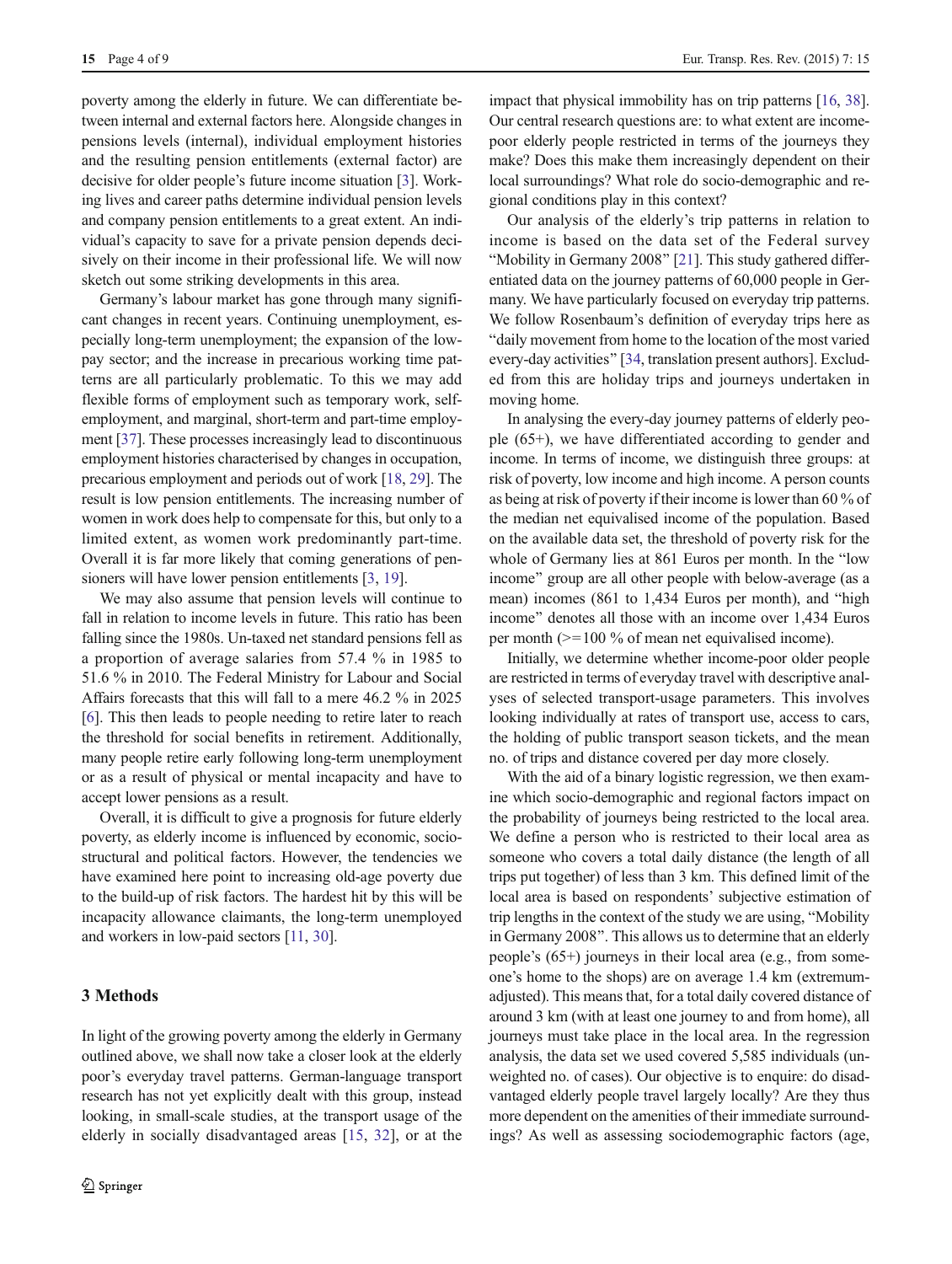poverty among the elderly in future. We can differentiate between internal and external factors here. Alongside changes in pensions levels (internal), individual employment histories and the resulting pension entitlements (external factor) are decisive for older people's future income situation [\[3](#page-7-0)]. Working lives and career paths determine individual pension levels and company pension entitlements to a great extent. An individual's capacity to save for a private pension depends decisively on their income in their professional life. We will now sketch out some striking developments in this area.

Germany's labour market has gone through many significant changes in recent years. Continuing unemployment, especially long-term unemployment; the expansion of the lowpay sector; and the increase in precarious working time patterns are all particularly problematic. To this we may add flexible forms of employment such as temporary work, selfemployment, and marginal, short-term and part-time employment [[37\]](#page-8-0). These processes increasingly lead to discontinuous employment histories characterised by changes in occupation, precarious employment and periods out of work [[18,](#page-7-0) [29](#page-8-0)]. The result is low pension entitlements. The increasing number of women in work does help to compensate for this, but only to a limited extent, as women work predominantly part-time. Overall it is far more likely that coming generations of pensioners will have lower pension entitlements [[3,](#page-7-0) [19\]](#page-7-0).

We may also assume that pension levels will continue to fall in relation to income levels in future. This ratio has been falling since the 1980s. Un-taxed net standard pensions fell as a proportion of average salaries from 57.4 % in 1985 to 51.6 % in 2010. The Federal Ministry for Labour and Social Affairs forecasts that this will fall to a mere 46.2 % in 2025 [\[6](#page-7-0)]. This then leads to people needing to retire later to reach the threshold for social benefits in retirement. Additionally, many people retire early following long-term unemployment or as a result of physical or mental incapacity and have to accept lower pensions as a result.

Overall, it is difficult to give a prognosis for future elderly poverty, as elderly income is influenced by economic, sociostructural and political factors. However, the tendencies we have examined here point to increasing old-age poverty due to the build-up of risk factors. The hardest hit by this will be incapacity allowance claimants, the long-term unemployed and workers in low-paid sectors [\[11,](#page-7-0) [30\]](#page-8-0).

# 3 Methods

In light of the growing poverty among the elderly in Germany outlined above, we shall now take a closer look at the elderly poor's everyday travel patterns. German-language transport research has not yet explicitly dealt with this group, instead looking, in small-scale studies, at the transport usage of the elderly in socially disadvantaged areas [[15,](#page-7-0) [32](#page-8-0)], or at the impact that physical immobility has on trip patterns [[16,](#page-7-0) [38\]](#page-8-0). Our central research questions are: to what extent are incomepoor elderly people restricted in terms of the journeys they make? Does this make them increasingly dependent on their local surroundings? What role do socio-demographic and regional conditions play in this context?

Our analysis of the elderly's trip patterns in relation to income is based on the data set of the Federal survey "Mobility in Germany 2008" [[21](#page-7-0)]. This study gathered differentiated data on the journey patterns of 60,000 people in Germany. We have particularly focused on everyday trip patterns. We follow Rosenbaum's definition of everyday trips here as "daily movement from home to the location of the most varied every-day activities^ [\[34](#page-8-0), translation present authors]. Excluded from this are holiday trips and journeys undertaken in moving home.

In analysing the every-day journey patterns of elderly people (65+), we have differentiated according to gender and income. In terms of income, we distinguish three groups: at risk of poverty, low income and high income. A person counts as being at risk of poverty if their income is lower than 60 % of the median net equivalised income of the population. Based on the available data set, the threshold of poverty risk for the whole of Germany lies at 861 Euros per month. In the "low income" group are all other people with below-average (as a mean) incomes (861 to 1,434 Euros per month), and "high income" denotes all those with an income over 1,434 Euros per month (>=100 % of mean net equivalised income).

Initially, we determine whether income-poor older people are restricted in terms of everyday travel with descriptive analyses of selected transport-usage parameters. This involves looking individually at rates of transport use, access to cars, the holding of public transport season tickets, and the mean no. of trips and distance covered per day more closely.

With the aid of a binary logistic regression, we then examine which socio-demographic and regional factors impact on the probability of journeys being restricted to the local area. We define a person who is restricted to their local area as someone who covers a total daily distance (the length of all trips put together) of less than 3 km. This defined limit of the local area is based on respondents' subjective estimation of trip lengths in the context of the study we are using, "Mobility" in Germany 2008". This allows us to determine that an elderly people's (65+) journeys in their local area (e.g., from someone's home to the shops) are on average 1.4 km (extremumadjusted). This means that, for a total daily covered distance of around 3 km (with at least one journey to and from home), all journeys must take place in the local area. In the regression analysis, the data set we used covered 5,585 individuals (unweighted no. of cases). Our objective is to enquire: do disadvantaged elderly people travel largely locally? Are they thus more dependent on the amenities of their immediate surroundings? As well as assessing sociodemographic factors (age,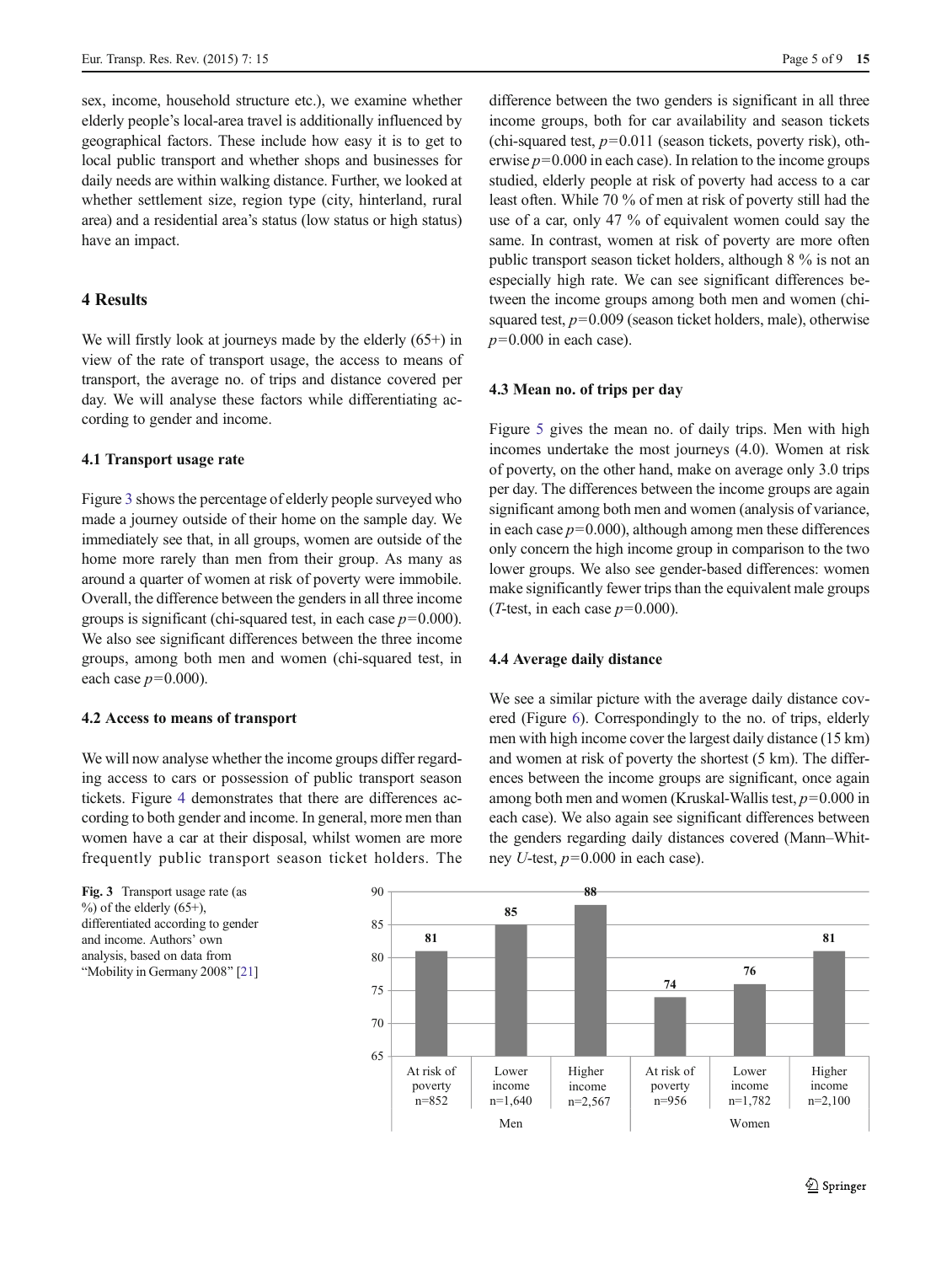sex, income, household structure etc.), we examine whether elderly people's local-area travel is additionally influenced by geographical factors. These include how easy it is to get to local public transport and whether shops and businesses for daily needs are within walking distance. Further, we looked at whether settlement size, region type (city, hinterland, rural area) and a residential area's status (low status or high status) have an impact.

# 4 Results

We will firstly look at journeys made by the elderly  $(65+)$  in view of the rate of transport usage, the access to means of transport, the average no. of trips and distance covered per day. We will analyse these factors while differentiating according to gender and income.

## 4.1 Transport usage rate

Figure 3 shows the percentage of elderly people surveyed who made a journey outside of their home on the sample day. We immediately see that, in all groups, women are outside of the home more rarely than men from their group. As many as around a quarter of women at risk of poverty were immobile. Overall, the difference between the genders in all three income groups is significant (chi-squared test, in each case  $p=0.000$ ). We also see significant differences between the three income groups, among both men and women (chi-squared test, in each case  $p=0.000$ ).

#### 4.2 Access to means of transport

We will now analyse whether the income groups differ regarding access to cars or possession of public transport season tickets. Figure [4](#page-5-0) demonstrates that there are differences according to both gender and income. In general, more men than women have a car at their disposal, whilst women are more frequently public transport season ticket holders. The



difference between the two genders is significant in all three income groups, both for car availability and season tickets (chi-squared test,  $p=0.011$  (season tickets, poverty risk), otherwise  $p=0.000$  in each case). In relation to the income groups studied, elderly people at risk of poverty had access to a car least often. While 70 % of men at risk of poverty still had the use of a car, only 47 % of equivalent women could say the same. In contrast, women at risk of poverty are more often public transport season ticket holders, although 8 % is not an especially high rate. We can see significant differences between the income groups among both men and women (chisquared test,  $p=0.009$  (season ticket holders, male), otherwise  $p=0.000$  in each case).

## 4.3 Mean no. of trips per day

Figure [5](#page-5-0) gives the mean no. of daily trips. Men with high incomes undertake the most journeys (4.0). Women at risk of poverty, on the other hand, make on average only 3.0 trips per day. The differences between the income groups are again significant among both men and women (analysis of variance, in each case  $p=0.000$ , although among men these differences only concern the high income group in comparison to the two lower groups. We also see gender-based differences: women make significantly fewer trips than the equivalent male groups (*T*-test, in each case  $p=0.000$ ).

### 4.4 Average daily distance

We see a similar picture with the average daily distance covered (Figure [6](#page-6-0)). Correspondingly to the no. of trips, elderly men with high income cover the largest daily distance (15 km) and women at risk of poverty the shortest (5 km). The differences between the income groups are significant, once again among both men and women (Kruskal-Wallis test,  $p=0.000$  in each case). We also again see significant differences between the genders regarding daily distances covered (Mann–Whitney U-test,  $p=0.000$  in each case).

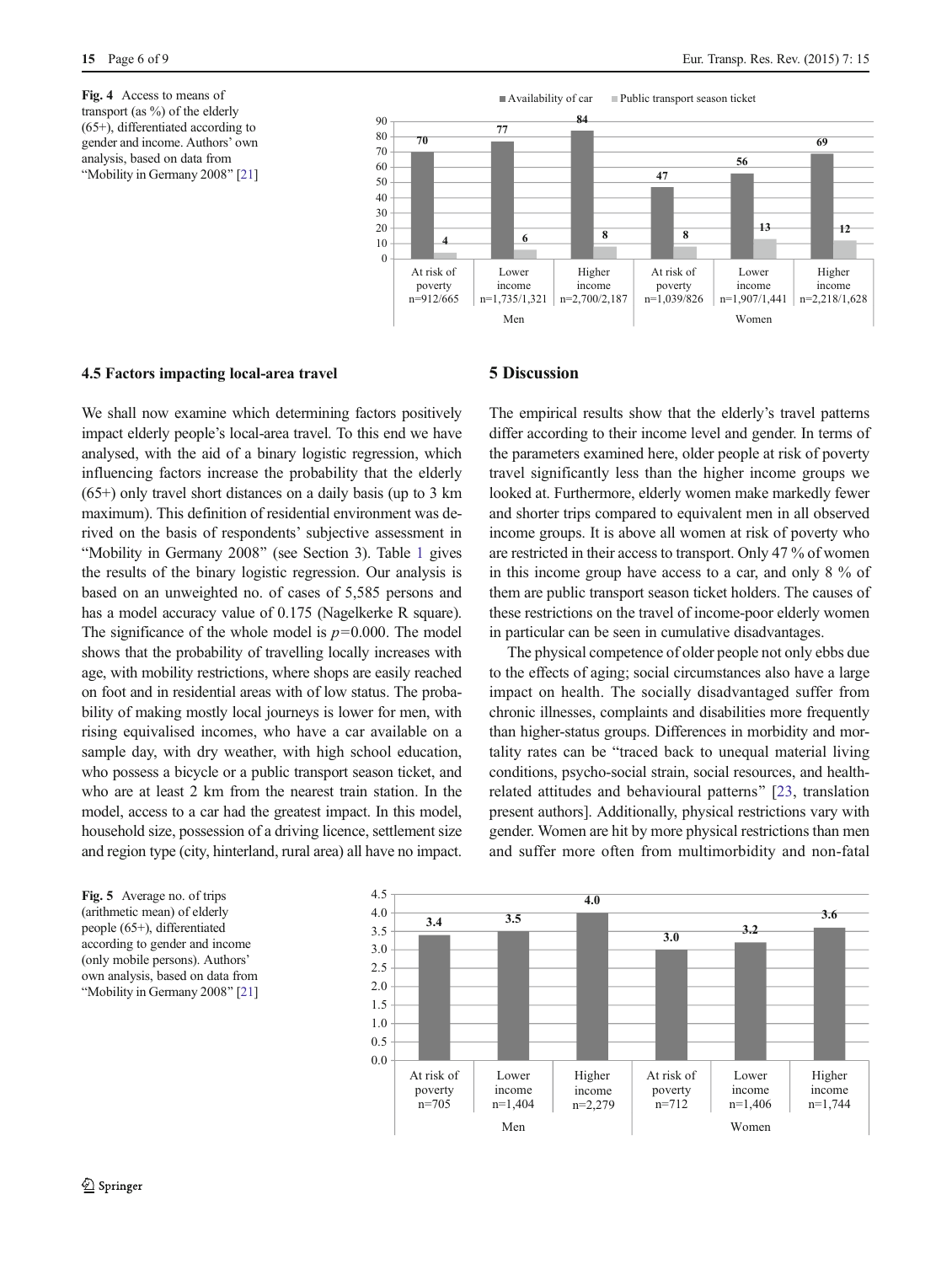transport (as %) of the elderly (65+), differentiated according to gender and income. Authors' own analysis, based on data from "Mobility in Germany 2008" [[21\]](#page-7-0)

<span id="page-5-0"></span>

## 4.5 Factors impacting local-area travel

We shall now examine which determining factors positively impact elderly people's local-area travel. To this end we have analysed, with the aid of a binary logistic regression, which influencing factors increase the probability that the elderly  $(65+)$  only travel short distances on a daily basis (up to 3 km) maximum). This definition of residential environment was derived on the basis of respondents' subjective assessment in "Mobility in Germany 2008" (see Section 3). Table [1](#page-6-0) gives the results of the binary logistic regression. Our analysis is based on an unweighted no. of cases of 5,585 persons and has a model accuracy value of 0.175 (Nagelkerke R square). The significance of the whole model is  $p=0.000$ . The model shows that the probability of travelling locally increases with age, with mobility restrictions, where shops are easily reached on foot and in residential areas with of low status. The probability of making mostly local journeys is lower for men, with rising equivalised incomes, who have a car available on a sample day, with dry weather, with high school education, who possess a bicycle or a public transport season ticket, and who are at least 2 km from the nearest train station. In the model, access to a car had the greatest impact. In this model, household size, possession of a driving licence, settlement size and region type (city, hinterland, rural area) all have no impact.

5 Discussion

The empirical results show that the elderly's travel patterns differ according to their income level and gender. In terms of the parameters examined here, older people at risk of poverty travel significantly less than the higher income groups we looked at. Furthermore, elderly women make markedly fewer and shorter trips compared to equivalent men in all observed income groups. It is above all women at risk of poverty who are restricted in their access to transport. Only 47 % of women in this income group have access to a car, and only 8 % of them are public transport season ticket holders. The causes of these restrictions on the travel of income-poor elderly women in particular can be seen in cumulative disadvantages.

The physical competence of older people not only ebbs due to the effects of aging; social circumstances also have a large impact on health. The socially disadvantaged suffer from chronic illnesses, complaints and disabilities more frequently than higher-status groups. Differences in morbidity and mortality rates can be "traced back to unequal material living conditions, psycho-social strain, social resources, and healthrelated attitudes and behavioural patterns^ [\[23](#page-7-0), translation present authors]. Additionally, physical restrictions vary with gender. Women are hit by more physical restrictions than men and suffer more often from multimorbidity and non-fatal

Fig. 5 Average no. of trips (arithmetic mean) of elderly people (65+), differentiated according to gender and income (only mobile persons). Authors' own analysis, based on data from "Mobility in Germany 2008" [[21\]](#page-7-0)

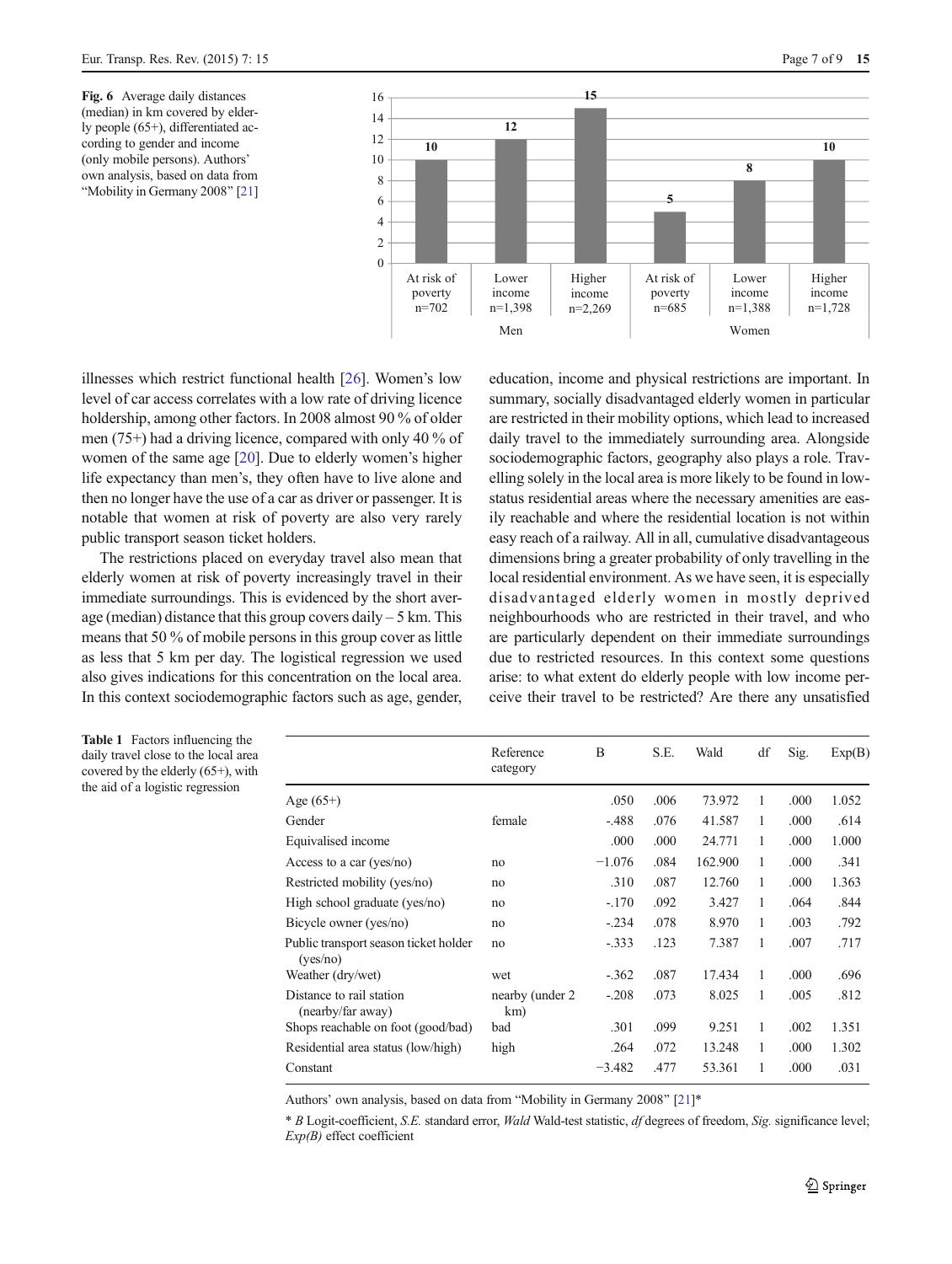<span id="page-6-0"></span>Fig. 6 Average daily distances (median) in km covered by elderly people (65+), differentiated according to gender and income (only mobile persons). Authors' own analysis, based on data from "Mobility in Germany 2008" [[21\]](#page-7-0)



illnesses which restrict functional health [\[26\]](#page-8-0). Women's low level of car access correlates with a low rate of driving licence holdership, among other factors. In 2008 almost 90 % of older men (75+) had a driving licence, compared with only 40 % of women of the same age [[20\]](#page-7-0). Due to elderly women's higher life expectancy than men's, they often have to live alone and then no longer have the use of a car as driver or passenger. It is notable that women at risk of poverty are also very rarely public transport season ticket holders.

The restrictions placed on everyday travel also mean that elderly women at risk of poverty increasingly travel in their immediate surroundings. This is evidenced by the short average (median) distance that this group covers daily  $-5$  km. This means that 50 % of mobile persons in this group cover as little as less that 5 km per day. The logistical regression we used also gives indications for this concentration on the local area. In this context sociodemographic factors such as age, gender, education, income and physical restrictions are important. In summary, socially disadvantaged elderly women in particular are restricted in their mobility options, which lead to increased daily travel to the immediately surrounding area. Alongside sociodemographic factors, geography also plays a role. Travelling solely in the local area is more likely to be found in lowstatus residential areas where the necessary amenities are easily reachable and where the residential location is not within easy reach of a railway. All in all, cumulative disadvantageous dimensions bring a greater probability of only travelling in the local residential environment. As we have seen, it is especially disadvantaged elderly women in mostly deprived neighbourhoods who are restricted in their travel, and who are particularly dependent on their immediate surroundings due to restricted resources. In this context some questions arise: to what extent do elderly people with low income perceive their travel to be restricted? Are there any unsatisfied

Table 1 Factors influencing the daily travel close to the local area covered by the elderly (65+), with the aid of a logistic regression

|                                                   | Reference<br>category   | B        | S.E. | Wald    | df | Sig. | Exp(B) |
|---------------------------------------------------|-------------------------|----------|------|---------|----|------|--------|
| Age $(65+)$                                       |                         | .050     | .006 | 73.972  | 1  | .000 | 1.052  |
| Gender                                            | female                  | $-.488$  | .076 | 41.587  | 1  | .000 | .614   |
| Equivalised income                                |                         | .000     | .000 | 24.771  | 1  | .000 | 1.000  |
| Access to a car (yes/no)                          | no                      | $-1.076$ | .084 | 162.900 | 1  | .000 | .341   |
| Restricted mobility (yes/no)                      | no                      | .310     | .087 | 12.760  | 1  | .000 | 1.363  |
| High school graduate (yes/no)                     | no                      | $-.170$  | .092 | 3.427   | 1  | .064 | .844   |
| Bicycle owner (yes/no)                            | no                      | $-.234$  | .078 | 8.970   | 1  | .003 | .792   |
| Public transport season ticket holder<br>(yes/no) | no                      | $-.333$  | .123 | 7.387   | 1  | .007 | .717   |
| Weather (dry/wet)                                 | wet                     | $-.362$  | .087 | 17.434  | 1  | .000 | .696   |
| Distance to rail station<br>(nearby/far away)     | nearby (under 2)<br>km) | $-.208$  | .073 | 8.025   | 1  | .005 | .812   |
| Shops reachable on foot (good/bad)                | bad                     | .301     | .099 | 9.251   | 1  | .002 | 1.351  |
| Residential area status (low/high)                | high                    | .264     | .072 | 13.248  | 1  | .000 | 1.302  |
| Constant                                          |                         | $-3.482$ | .477 | 53.361  | 1  | .000 | .031   |

Authors' own analysis, based on data from "Mobility in Germany 2008" [\[21](#page-7-0)]\*

\* B Logit-coefficient, S.E. standard error, Wald Wald-test statistic, df degrees of freedom, Sig. significance level;  $Exp(B)$  effect coefficient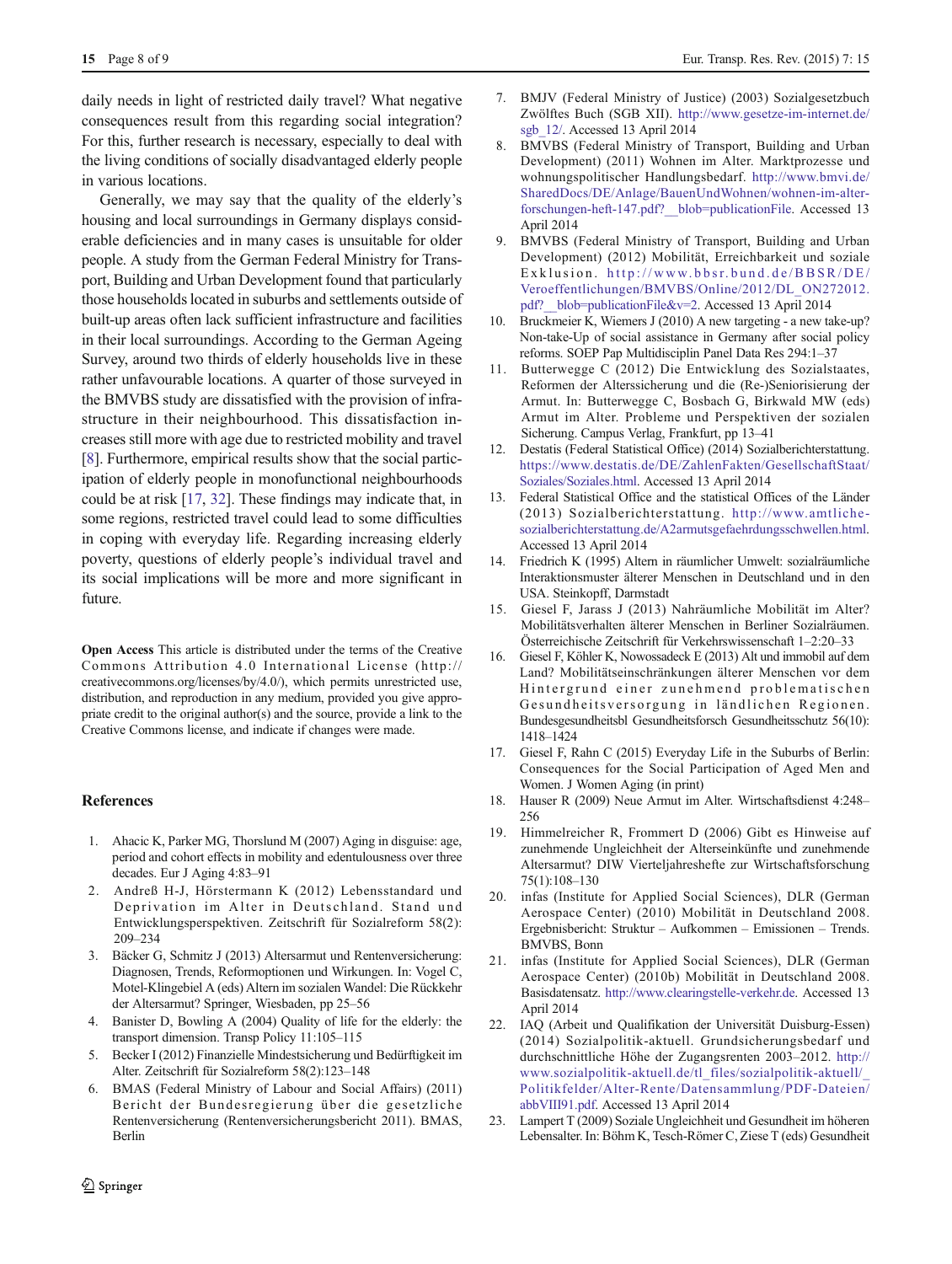<span id="page-7-0"></span>daily needs in light of restricted daily travel? What negative consequences result from this regarding social integration? For this, further research is necessary, especially to deal with the living conditions of socially disadvantaged elderly people in various locations.

Generally, we may say that the quality of the elderly's housing and local surroundings in Germany displays considerable deficiencies and in many cases is unsuitable for older people. A study from the German Federal Ministry for Transport, Building and Urban Development found that particularly those households located in suburbs and settlements outside of built-up areas often lack sufficient infrastructure and facilities in their local surroundings. According to the German Ageing Survey, around two thirds of elderly households live in these rather unfavourable locations. A quarter of those surveyed in the BMVBS study are dissatisfied with the provision of infrastructure in their neighbourhood. This dissatisfaction increases still more with age due to restricted mobility and travel [8]. Furthermore, empirical results show that the social participation of elderly people in monofunctional neighbourhoods could be at risk [17, [32](#page-8-0)]. These findings may indicate that, in some regions, restricted travel could lead to some difficulties in coping with everyday life. Regarding increasing elderly poverty, questions of elderly people's individual travel and its social implications will be more and more significant in future.

Open Access This article is distributed under the terms of the Creative Commons Attribution 4.0 International License ([http://](http://creativecommons.org/licenses/by/4.0/) creativecommons.org/licenses/by/4.0/), which permits unrestricted use, distribution, and reproduction in any medium, provided you give appropriate credit to the original author(s) and the source, provide a link to the Creative Commons license, and indicate if changes were made.

#### **References**

- 1. Ahacic K, Parker MG, Thorslund M (2007) Aging in disguise: age, period and cohort effects in mobility and edentulousness over three decades. Eur J Aging 4:83–91
- 2. Andreß H-J, Hörstermann K (2012) Lebensstandard und Deprivation im Alter in Deutschland. Stand und Entwicklungsperspektiven. Zeitschrift für Sozialreform 58(2): 209–234
- 3. Bäcker G, Schmitz J (2013) Altersarmut und Rentenversicherung: Diagnosen, Trends, Reformoptionen und Wirkungen. In: Vogel C, Motel-Klingebiel A (eds) Altern im sozialen Wandel: Die Rückkehr der Altersarmut? Springer, Wiesbaden, pp 25–56
- 4. Banister D, Bowling A (2004) Quality of life for the elderly: the transport dimension. Transp Policy 11:105–115
- 5. Becker I (2012) Finanzielle Mindestsicherung und Bedürftigkeit im Alter. Zeitschrift für Sozialreform 58(2):123–148
- 6. BMAS (Federal Ministry of Labour and Social Affairs) (2011) Bericht der Bundesregierung über die gesetzliche Rentenversicherung (Rentenversicherungsbericht 2011). BMAS, Berlin
- 7. BMJV (Federal Ministry of Justice) (2003) Sozialgesetzbuch Zwölftes Buch (SGB XII). [http://www.gesetze-im-internet.de/](http://www.gesetze-im-internet.de/sgb_12/) [sgb\\_12/.](http://www.gesetze-im-internet.de/sgb_12/) Accessed 13 April 2014
- 8. BMVBS (Federal Ministry of Transport, Building and Urban Development) (2011) Wohnen im Alter. Marktprozesse und wohnungspolitischer Handlungsbedarf. [http://www.bmvi.de/](http://www.bmvi.de/SharedDocs/DE/Anlage/BauenUndWohnen/wohnen-im-alter-forschungen-heft-147.pdf?__blob=publicationFile) [SharedDocs/DE/Anlage/BauenUndWohnen/wohnen-im-alter](http://www.bmvi.de/SharedDocs/DE/Anlage/BauenUndWohnen/wohnen-im-alter-forschungen-heft-147.pdf?__blob=publicationFile)[forschungen-heft-147.pdf?\\_\\_blob=publicationFile](http://www.bmvi.de/SharedDocs/DE/Anlage/BauenUndWohnen/wohnen-im-alter-forschungen-heft-147.pdf?__blob=publicationFile). Accessed 13 April 2014
- 9. BMVBS (Federal Ministry of Transport, Building and Urban Development) (2012) Mobilität, Erreichbarkeit und soziale Exklusion. [http://www.bbsr.bund.de/BBSR/DE/](http://www.bbsr.bund.de/BBSR/DE/Veroeffentlichungen/BMVBS/Online/2012/DL_ON272012.pdf?__blob=publicationFile&v=2) [Veroeffentlichungen/BMVBS/Online/2012/DL\\_ON272012.](http://www.bbsr.bund.de/BBSR/DE/Veroeffentlichungen/BMVBS/Online/2012/DL_ON272012.pdf?__blob=publicationFile&v=2) pdf? blob=publicationFile&v=2. Accessed 13 April 2014
- 10. Bruckmeier K, Wiemers J (2010) A new targeting a new take-up? Non-take-Up of social assistance in Germany after social policy reforms. SOEP Pap Multidisciplin Panel Data Res 294:1–37
- 11. Butterwegge C (2012) Die Entwicklung des Sozialstaates, Reformen der Alterssicherung und die (Re-)Seniorisierung der Armut. In: Butterwegge C, Bosbach G, Birkwald MW (eds) Armut im Alter. Probleme und Perspektiven der sozialen Sicherung. Campus Verlag, Frankfurt, pp 13–41
- 12. Destatis (Federal Statistical Office) (2014) Sozialberichterstattung. [https://www.destatis.de/DE/ZahlenFakten/GesellschaftStaat/](https://www.destatis.de/DE/ZahlenFakten/GesellschaftStaat/Soziales/Soziales.html) [Soziales/Soziales.html.](https://www.destatis.de/DE/ZahlenFakten/GesellschaftStaat/Soziales/Soziales.html) Accessed 13 April 2014
- 13. Federal Statistical Office and the statistical Offices of the Länder (2013) Sozialberichterstattung. [http://www.amtliche](http://www.amtliche-sozialberichterstattung.de/A2armutsgefaehrdungsschwellen.html)[sozialberichterstattung.de/A2armutsgefaehrdungsschwellen.html](http://www.amtliche-sozialberichterstattung.de/A2armutsgefaehrdungsschwellen.html). Accessed 13 April 2014
- 14. Friedrich K (1995) Altern in räumlicher Umwelt: sozialräumliche Interaktionsmuster älterer Menschen in Deutschland und in den USA. Steinkopff, Darmstadt
- 15. Giesel F, Jarass J (2013) Nahräumliche Mobilität im Alter? Mobilitätsverhalten älterer Menschen in Berliner Sozialräumen. Österreichische Zeitschrift für Verkehrswissenschaft 1–2:20–33
- 16. Giesel F, Köhler K, Nowossadeck E (2013) Alt und immobil auf dem Land? Mobilitätseinschränkungen älterer Menschen vor dem Hintergrund einer zunehmend problematischen Gesundheitsversorgung in ländlichen Regionen. Bundesgesundheitsbl Gesundheitsforsch Gesundheitsschutz 56(10): 1418–1424
- 17. Giesel F, Rahn C (2015) Everyday Life in the Suburbs of Berlin: Consequences for the Social Participation of Aged Men and Women. J Women Aging (in print)
- 18. Hauser R (2009) Neue Armut im Alter. Wirtschaftsdienst 4:248– 256
- 19. Himmelreicher R, Frommert D (2006) Gibt es Hinweise auf zunehmende Ungleichheit der Alterseinkünfte und zunehmende Altersarmut? DIW Vierteljahreshefte zur Wirtschaftsforschung 75(1):108–130
- 20. infas (Institute for Applied Social Sciences), DLR (German Aerospace Center) (2010) Mobilität in Deutschland 2008. Ergebnisbericht: Struktur – Aufkommen – Emissionen – Trends. BMVBS, Bonn
- 21. infas (Institute for Applied Social Sciences), DLR (German Aerospace Center) (2010b) Mobilität in Deutschland 2008. Basisdatensatz. [http://www.clearingstelle-verkehr.de](http://www.clearingstelle-verkehr.de/). Accessed 13 April 2014
- 22. IAQ (Arbeit und Qualifikation der Universität Duisburg-Essen) (2014) Sozialpolitik-aktuell. Grundsicherungsbedarf und durchschnittliche Höhe der Zugangsrenten 2003–2012. [http://](http://www.sozialpolitik-aktuell.de/tl_files/sozialpolitik-aktuell/_Politikfelder/Alter-Rente/Datensammlung/PDF-Dateien/abbVIII91.pdf) [www.sozialpolitik-aktuell.de/tl\\_files/sozialpolitik-aktuell/\\_](http://www.sozialpolitik-aktuell.de/tl_files/sozialpolitik-aktuell/_Politikfelder/Alter-Rente/Datensammlung/PDF-Dateien/abbVIII91.pdf) [Politikfelder/Alter-Rente/Datensammlung/PDF-Dateien/](http://www.sozialpolitik-aktuell.de/tl_files/sozialpolitik-aktuell/_Politikfelder/Alter-Rente/Datensammlung/PDF-Dateien/abbVIII91.pdf) [abbVIII91.pdf](http://www.sozialpolitik-aktuell.de/tl_files/sozialpolitik-aktuell/_Politikfelder/Alter-Rente/Datensammlung/PDF-Dateien/abbVIII91.pdf). Accessed 13 April 2014
- 23. Lampert T (2009) Soziale Ungleichheit und Gesundheit im höheren Lebensalter. In: Böhm K, Tesch-Römer C, Ziese T (eds) Gesundheit